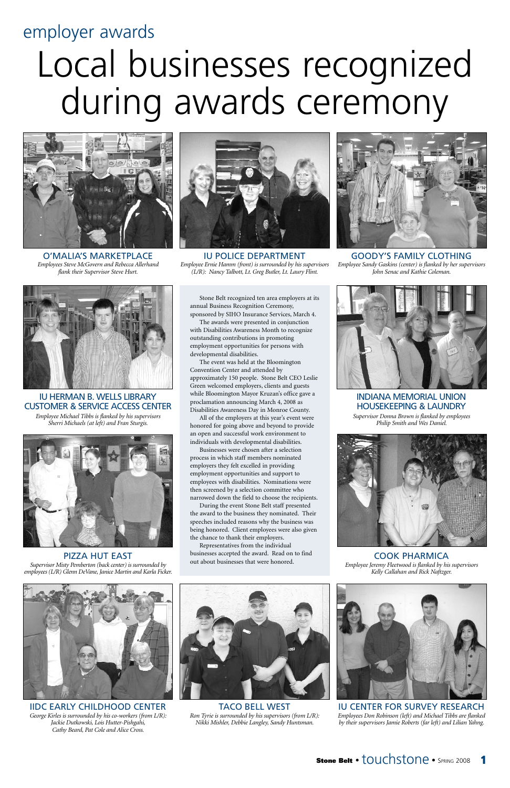### employer awards

## Local businesses recognized during awards ceremony

Stone Belt recognized ten area employers at its annual Business Recognition Ceremony, sponsored by SIHO Insurance Services, March 4.

The awards were presented in conjunction with Disabilities Awareness Month to recognize outstanding contributions in promoting employment opportunities for persons with developmental disabilities.

The event was held at the Bloomington Convention Center and attended by approximately 150 people. Stone Belt CEO Leslie Green welcomed employers, clients and guests while Bloomington Mayor Kruzan's office gave a proclamation announcing March 4, 2008 as Disabilities Awareness Day in Monroe County.

All of the employers at this year's event were honored for going above and beyond to provide an open and successful work environment to individuals with developmental disabilities.

Businesses were chosen after a selection process in which staff members nominated employers they felt excelled in providing employment opportunities and support to employees with disabilities. Nominations were then screened by a selection committee who narrowed down the field to choose the recipients.

During the event Stone Belt staff presented the award to the business they nominated. Their speeches included reasons why the business was being honored. Client employees were also given the chance to thank their employers.

Representatives from the individual businesses accepted the award. Read on to find out about businesses that were honored.





O'MALIA'S MARKETPLACE *Employees Steve McGovern and Rebecca Allerhand flank their Supervisor Steve Hurt.*





IU POLICE DEPARTMENT *Employee Ernie Hamm (front) is surrounded by his supervisors (L/R): Nancy Talbott, Lt. Greg Butler, Lt. Laury Flint.*

IU HERMAN B. WELLS LIBRARY CUSTOMER & SERVICE ACCESS CENTER *Employee Michael Tibbs is flanked by his supervisors Sherri Michaels (at left) and Fran Sturgis.*

GOODY'S FAMILY CLOTHING *Employee Sandy Gaskins (center) is flanked by her supervisors John Senac and Kathie Coleman.*





PIZZA HUT EAST *Supervisor Misty Pemberton (back center) is surrounded by employees (L/R) Glenn DeVane, Janice Martin and Karla Ficker.*

#### IIDC EARLY CHILDHOOD CENTER

*George Kirles is surrounded by his co-workers (from L/R): Jackie Dutkowski, Lois Hutter-Pishgahi, Cathy Beard, Pat Cole and Alice Cross.*



#### TACO BELL WEST

*Ron Tyrie is surrounded by his supervisors (from L/R): Nikki Mishler, Debbie Langley, Sandy Huntsman.*



COOK PHARMICA *Employee Jeremy Fleetwood is flanked by his supervisors Kelly Callahan and Rick Naftzger.*



INDIANA MEMORIAL UNION HOUSEKEEPING & LAUNDRY *Supervisor Donna Brown is flanked by employees Philip Smith and Wes Daniel.*



IU CENTER FOR SURVEY RESEARCH *Employees Don Robinson (left) and Michael Tibbs are flanked*

*by their supervisors Jamie Roberts (far left) and Lilian Yahng.*

**Stone Belt • touchstone • SPRING 2008**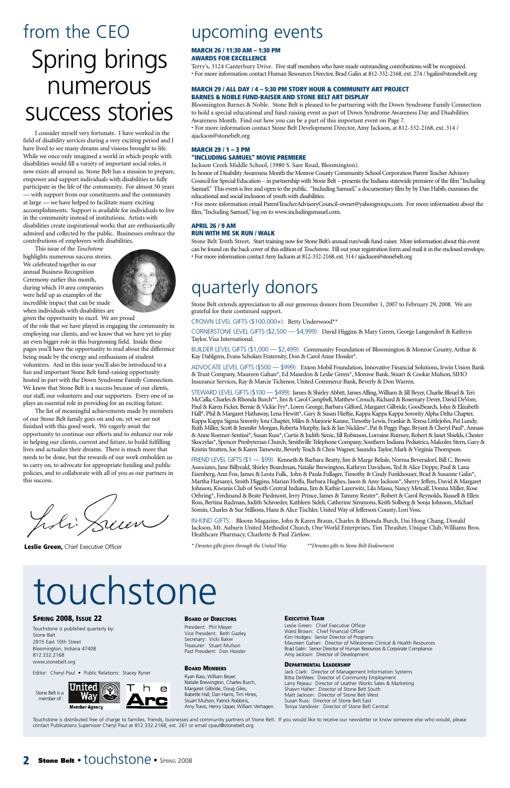**Leslie Green,** Chief Executive Officer

## upcoming events

#### **EXECUTIVE TEAM**

Leslie Green: Chief Executive Officer Ward Brown: Chief Financial Officer Kim Hodges: Senior Director of Programs Maureen Gahan: Director of Milestones Clinical & Health Resources Brad Galin: Senior Director of Human Resources & Corporate Compliance Amy Jackson: Director of Development

#### **DEPARTMENTAL LEADERSHIP**

Jack Clark: Director of Management Information Systems Bitta DeWees: Director of Community Employment Larry Pejeau: Director of Leather Works Sales & Marketing Shawn Halter: Director of Stone Belt South Matt Jackson: Director of Stone Belt West Susan Russ: Director of Stone Belt East Tonya Vandivier: Director of Stone Belt Central

#### **SPRING 2008, ISSUE 22**

Touchstone is published quarterly by: Stone Belt 2815 East 10th Street Bloomington, Indiana 47408 812.332.2168 www.stonebelt.org

Touchstone is distributed free of charge to families, friends, businesses and community partners of Stone Belt. If you would like to receive our newsletter or know someone else who would, please contact Publications Supervisor Cheryl Paul at 812.332.2168, ext. 261 or email cpaul@stonebelt.org.

#### **2 Stone Belt • touchstone • SPRING 2008**

Editor: Cheryl Paul • Public Relations: Stacey Ryner

#### **BOARD OF DIRECTORS**

President: Phil Meyer Vice President: Beth Gazley Secretary: Vicki Baker Treasurer: Stuart Mufson Past President: Don Hossler

#### **BOARD MEMBERS**

Ryan Bass, William Beyer, Natalie Brewington, Charles Burch, Margaret Gilbride, Doug Giles, Babette Hall, Dan Harris, Tim Hines, Stuart Mufson, Patrick Robbins, Amy Travis, Henry Upper, William Verhagen.



## quarterly donors

Stone Belt extends appreciation to all our generous donors from December 1, 2007 to February 29, 2008. We are grateful for their continued support.

CROWN LEVEL GIFTS (\$100,000+): Betty Underwood\*\*

CORNERSTONE LEVEL GIFTS (\$2,500 — \$4,999): David Higgins & Mary Green, George Langendorf & Kathryn Taylor, Visa International.

BUILDER LEVEL GIFTS (\$1,000 — \$2,499): Community Foundation of Bloomington & Monroe County, Arthur & Kay Dahlgren, Evans Scholars Fraternity, Don & Carol Anne Hossler\*.

ADVOCATE LEVEL GIFTS (\$500 — \$999): Exxon Mobil Foundation, Innovative Financial Solutions, Irwin Union Bank & Trust Company, Maureen Gahan\*, Ed Maxedon & Leslie Green\*, Monroe Bank, Stuart & Cookie Mufson, SIHO Insurance Services, Ray & Marcie Tichenor, United Commerce Bank, Beverly & Don Warren.

STEWARD LEVEL GIFTS (\$100 — \$499): James & Shirley Abbitt, James Alling, William & Jill Beyer, Charlie Bleuel & Teri McCalla, Charles & Rhonda Burch\*\*, Jim & Carol Campbell, Matthew Crouch, Richard & Rosemary Dever, David DeVore, Paul & Karen Ficker, Bernie & Vickie Fry\*, Loren George, Barbara Gifford, Margaret Gilbride, GoodSearch, John & Elizabeth Hall\*, Phil & Margaret Hathaway, Lena Hewitt\*, Gary & Susan Hieftje, Kappa Kappa Kappa Sorority Alpha Delta Chapter, Kappa Kappa Sigma Sorority Iota Chapter, Miles & Marjorie Kanne, Timothy Lewis, Frankie & Teresa Littlejohn, Pat Lundy, Ruth Miller, Scott & Jennifer Morgan, Roberta Murphy, Jack & Jan Nickless\*, Pat & Peggy Page, Bryant & Cheryl Paul\*, Annass & Anne Roemer-Sentissi\*, Susan Russ\*, Curtis & Judith Simic, Jill Robinson, Lorraine Rumsey, Robert & Janet Shields, Chester Skoczylas\*, Spencer Presbyterian Church, Smithville Telephone Company, Southern Indiana Pediatrics, Malcolm Stern, Gary & Kristin Stratten, Joe & Karen Tamewitz, Beverly Teach & Chris Wagner, Saundra Taylor, Mark & Virginia Thompson.

FRIEND LEVEL GIFTS (\$1 — \$99): Kenneth & Barbara Beatty, Jim & Marge Belisle, Norma Beversdorf, Bill C. Brown Associates, Jane Billyeald, Shirley Boardman, Natalie Brewington, Kathryn Davidson, Ted & Alice Deppe, Paul & Lana Eisenberg, Ann Fox, James & Leota Fulk, John & Paula Fullager, Timothy & Cindy Funkhouser, Brad & Susanne Galin\*, Martha Harsanyi, Smith Higgins, Marian Hoffa, Barbara Hughes, Jason & Amy Jackson\*, Sherry Jeffers, David & Margaret Johnson, Kiwanis Club of South Central Indiana, Jim & Kathie Lazerwitz, Lila Massa, Nancy Metcalf, Donna Miller, Rose Oehring\*, Ferdinand & Beate Piedmont, Jerry Prince, James & Tammy Reuter\*, Robert & Carol Reynolds, Russell & Ellen Ross, Bertina Rudman, Judith Schroeder, Kathleen Sideli, Catherine Simmons, Keith Solberg & Sonja Johnson, Michael Somin, Charles & Sue Stillions, Hans & Alice Tischler, United Way of Jefferson County, Lori Voss.

• For more information email ParentTeacherAdvisoryCouncil-owner@yahoogroups.com. For more information about the film, "Including Samuel," log on to www.includingsmauel.com.

IN-KIND GIFTS: Bloom Magazine, John & Karen Braun, Charles & Rhonda Burch, Dai Hong Chang, Donald Jackson, Mt. Auburn United Methodist Church, One World Enterprises, Tim Thrasher, Unique Club, Williams Bros. Healthcare Pharmacy, Charlotte & Paul Zietlow.

*\* Denotes gifts given through the United Way \*\*Denotes gifts to Stone Belt Endowment*

## ouchstone

## from the CEO Spring brings numerous success stories

I consider myself very fortunate. I have worked in the field of disability services during a very exciting period and I have lived to see many dreams and visions brought to life. While we once only imagined a world in which people with disabilities would fill a variety of important social roles, it now exists all around us. Stone Belt has a mission to prepare, empower and support individuals with disabilities to fully participate in the life of the community. For almost 50 years — with support from our constituents and the community at large — we have helped to facilitate many exciting accomplishments. Support is available for individuals to live in the community instead of institutions. Artists with disabilities create inspirational works that are enthusiastically admired and collected by the public. Businesses embrace the contributions of employees with disabilities.

This issue of the *Touchstone* highlights numerous success stories. We celebrated together in our annual Business Recognition Ceremony earlier this month, during which 10 area companies were held up as examples of the incredible impact that can be made when individuals with disabilities are



given the opportunity to excel. We are proud of the role that we have played in engaging the community in employing our clients, and we know that we have yet to play an even bigger role in this burgeoning field. Inside these pages you'll have the opportunity to read about the difference being made by the energy and enthusiasm of student volunteers. And in this issue you'll also be introduced to a fun and important Stone Belt fund-raising opportunity hosted in part with the Down Syndrome Family Connection. We know that Stone Belt is a success because of our clients, our staff, our volunteers and our supporters. Every one of us plays an essential role in providing for an exciting future.

The list of meaningful achievements made by members of our Stone Belt family goes on and on, yet we are not finished with this good work. We eagerly await the opportunity to continue our efforts and to enhance our role in helping our clients, current and future, to build fulfilling lives and actualize their dreams. There is much more that needs to be done, but the rewards of our work embolden us to carry on, to advocate for appropriate funding and public policies, and to collaborate with all of you as our partners in this success.

Loli Sum

#### **MARCH 26 / 11:30 AM – 1:30 PM AWARDS FOR EXCELLENCE**

Terry's, 3124 Canterbury Drive. Five staff members who have made outstanding contributions will be recognized. • For more information contact Human Resources Director, Brad Galin at 812-332-2168, ext. 274 / bgalin@stonebelt.org

#### **MARCH 29 / ALL DAY / 4 – 5:30 PM STORY HOUR & COMMUNITY ART PROJECT BARNES & NOBLE FUND-RAISER AND STONE BELT ART DISPLAY**

Bloomington Barnes & Noble. Stone Belt is pleased to be partnering with the Down Syndrome Family Connection to hold a special educational and fund-raising event as part of Down Syndrome Awareness Day and Disabilities Awareness Month. Find out how you can be a part of this important event on Page 7.

• For more information contact Stone Belt Development Director, Amy Jackson, at 812-332-2168, ext. 314 / ajackson@stonebelt.org

#### **MARCH 29 / 1 – 3 PM "INCLUDING SAMUEL" MOVIE PREMIERE**

Jackson Creek Middle School, (3980 S. Sare Road, Bloomington).

In honor of Disability Awareness Month the Monroe County Community School Corporation Parent Teacher Advisory Council for Special Education – in partnership with Stone Belt – presents the Indiana statewide premiere of the film "Including Samuel." This event is free and open to the public. "Including Samuel," a documentary film by by Dan Habib, examines the educational and social inclusion of youth with disabilities.

#### **APRIL 26 / 9 AM RUN WITH ME 5K RUN / WALK**

Stone Belt Tenth Street. Start training now for Stone Belt's annual run/walk fund-raiser. More information about this event can be found on the back cover of this edition of *Touchstone*. Fill out your registration form and mail it in the enclosed envelope. • For more information contact Amy Jackson at 812-332-2168, ext. 314 / ajackson@stonebelt.org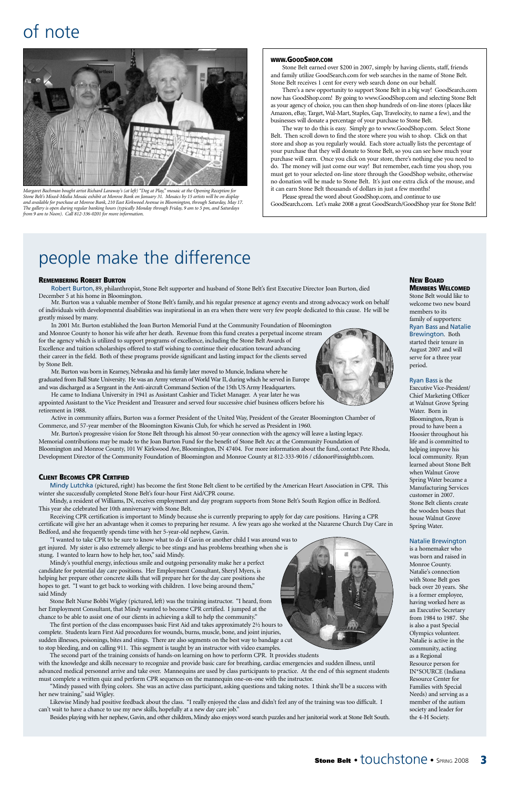

## of note



*Margaret Bachman bought artist Richard Laraway's (at left) "Dog at Play," mosaic at the Opening Reception for Stone Belt's Mixed-Media Mosaic exhibit at Monroe Bank on January 31. Mosaics by 15 artists will be on display and available for purchase at Monroe Bank, 210 East Kirkwood Avenue in Bloomington, through Saturday, May 17. The gallery is open during regular banking hours (typically Monday through Friday, 9 am to 5 pm, and Saturdays from 9 am to Noon). Call 812-336-0201 for more information.*

December 5 at his home in Bloomington.<br>Mr. Burton was a valuable member of Stone Belt's family, and his regular presence at agency events and strong advocacy work on behalf of individuals with developmental disabilities was inspirational in an era when there were very few people dedicated to this cause. He will be greatly missed by many.

#### **REMEMBERING ROBERT BURTON**

Robert Burton, 89, philanthropist, Stone Belt supporter and husband of Stone Belt's first Executive Director Joan Burton, died

In 2001 Mr. Burton established the Joan Burton Memorial Fund at the Community Foundation of Bloomington and Monroe County to honor his wife after her death. Revenue from this fund creates a perpetual income stream for the agency which is utilized to support programs of excellence, including the Stone Belt Awards of Excellence and tuition scholarships offered to staff wishing to continue their education toward advancing their career in the field. Both of these programs provide significant and lasting impact for the clients served by Stone Belt.

Mr. Burton was born in Kearney, Nebraska and his family later moved to Muncie, Indiana where he graduated from Ball State University. He was an Army veteran of World War II, during which he served in Europe and was discharged as a Sergeant in the Anti-aircraft Command Section of the 15th US Army Headquarters.

He came to Indiana University in 1941 as Assistant Cashier and Ticket Manager. A year later he was appointed Assistant to the Vice President and Treasurer and served four successive chief business officers before his retirement in 1988.

Active in community affairs, Burton was a former President of the United Way, President of the Greater Bloomington Chamber of Commerce, and 57-year member of the Bloomington Kiwanis Club, for which he served as President in 1960.

Mr. Burton's progressive vision for Stone Belt through his almost 50-year connection with the agency will leave a lasting legacy. Memorial contributions may be made to the Joan Burton Fund for the benefit of Stone Belt Arc at the Community Foundation of Bloomington and Monroe County, 101 W Kirkwood Ave, Bloomington, IN 47404. For more information about the fund, contact Pete Rhoda, Development Director of the Community Foundation of Bloomington and Monroe County at 812-333-9016 / cfdonor@insightbb.com.

## people make the difference

hopes to get. "I want to get back to working with children. I love being around them," said Mindy

#### **WWW.GOODSHOP.COM**

Stone Belt earned over \$200 in 2007, simply by having clients, staff, friends and family utilize GoodSearch.com for web searches in the name of Stone Belt. Stone Belt receives 1 cent for every web search done on our behalf.

There's a new opportunity to support Stone Belt in a big way! GoodSearch.com now has GoodShop.com! By going to www.GoodShop.com and selecting Stone Belt as your agency of choice, you can then shop hundreds of on-line stores (places like Amazon, eBay, Target, Wal-Mart, Staples, Gap, Travelocity, to name a few), and the businesses will donate a percentage of your purchase to Stone Belt.

The way to do this is easy. Simply go to www.GoodShop.com. Select Stone Belt. Then scroll down to find the store where you wish to shop. Click on that store and shop as you regularly would. Each store actually lists the percentage of your purchase that they will donate to Stone Belt, so you can see how much your purchase will earn. Once you click on your store, there's nothing else you need to do. The money will just come our way! But remember, each time you shop, you must get to your selected on-line store through the GoodShop website, otherwise no donation will be made to Stone Belt. It's just one extra click of the mouse, and it can earn Stone Belt thousands of dollars in just a few months!

Please spread the word about GoodShop.com, and continue to use GoodSearch.com. Let's make 2008 a great GoodSearch/GoodShop year for Stone Belt!

#### **CLIENT BECOMES CPR CERTIFIED**

Mindy Lutchka (pictured, right) has become the first Stone Belt client to be certified by the American Heart Association in CPR. This winter she successfully completed Stone Belt's four-hour First Aid/CPR course.

Mindy, a resident of Williams, IN, receives employment and day program supports from Stone Belt's South Region office in Bedford. This year she celebrated her 10th anniversary with Stone Belt.

Receiving CPR certification is important to Mindy because she is currently preparing to apply for day care positions. Having a CPR certificate will give her an advantage when it comes to preparing her resume. A few years ago she worked at the Nazarene Church Day Care in Bedford, and she frequently spends time with her 5-year-old nephew, Gavin.

"I wanted to take CPR to be sure to know what to do if Gavin or another child I was around was to get injured. My sister is also extremely allergic to bee stings and has problems breathing when she is stung. I wanted to learn how to help her, too," said Mindy.

Mindy's youthful energy, infectious smile and outgoing personality make her a perfect candidate for potential day care positions. Her Employment Consultant, Sheryl Myers, is helping her prepare other concrete skills that will prepare her for the day care positions she



Stone Belt Nurse Bobbi Wigley (pictured, left) was the training instructor. "I heard, from her Employment Consultant, that Mindy wanted to become CPR certified. I jumped at the chance to be able to assist one of our clients in achieving a skill to help the community."

The first portion of the class encompasses basic First Aid and takes approximately 2½ hours to complete. Students learn First Aid procedures for wounds, burns, muscle, bone, and joint injuries, sudden illnesses, poisonings, bites and stings. There are also segments on the best way to bandage a cut to stop bleeding, and on calling 911. This segment is taught by an instructor with video examples.

The second part of the training consists of hands-on learning on how to perform CPR. It provides students with the knowledge and skills necessary to recognize and provide basic care for breathing, cardiac emergencies and sudden illness, until advanced medical personnel arrive and take over. Mannequins are used by class participants to practice. At the end of this segment students must complete a written quiz and perform CPR sequences on the mannequin one-on-one with the instructor.

"Mindy passed with flying colors. She was an active class participant, asking questions and taking notes. I think she'll be a success with her new training," said Wigley.

Likewise Mindy had positive feedback about the class. "I really enjoyed the class and didn't feel any of the training was too difficult. I can't wait to have a chance to use my new skills, hopefully at a new day care job."

Besides playing with her nephew, Gavin, and other children, Mindy also enjoys word search puzzles and her janitorial work at Stone Belt South.

#### **NEW BOARD MEMBERS WELCOMED**

Stone Belt would like to welcome two new board members to its family of supporters: Ryan Bass and Natalie Brewington. Both started their tenure in August 2007 and will serve for a three year period.

#### Ryan Bass is the

Executive Vice-President/ Chief Marketing Officer at Walnut Grove Spring Water. Born in Bloomington, Ryan is proud to have been a Hoosier throughout his life and is committed to helping improve his local community. Ryan learned about Stone Belt when Walnut Grove Spring Water became a Manufacturing Services customer in 2007. Stone Belt clients create the wooden boxes that house Walnut Grove Spring Water.

#### Natalie Brewington

is a homemaker who was born and raised in Monroe County. Natalie's connection with Stone Belt goes back over 20 years. She is a former employee, having worked here as an Executive Secretary from 1984 to 1987. She is also a past Special Olympics volunteer. Natalie is active in the community, acting as a Regional Resource person for IN\*SOURCE (Indiana Resource Center for Families with Special Needs) and serving as a member of the autism society and leader for the 4-H Society.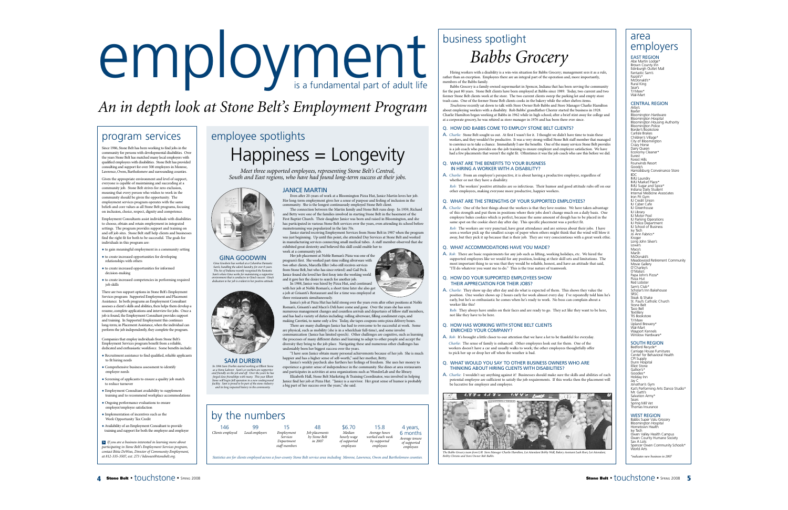Hiring workers with a disability is a win-win situation for Babbs Grocery; management sees it as a rule, rather than an exception. Employees there are an integral part of the operation and, more importantly, members of the Babbs family.

#### program services

Babbs Grocery is a family-owned supermarket in Spencer, Indiana that has been serving the community for the past 80 years. Stone Belt clients have been employed at Babbs since 1989. Today, two current and two former Stone Belt clients work at the store. The two current clients sweep the parking lot and empty store trash cans. One of the former Stone Belt clients cooks in the bakery while the other shelves items.

*Touchstone* recently sat down to talk with Store Owner Rob Babbs and Store Manager Charlie Hamilton about employing workers with a disability. Rob Babbs' grandfather Chester started the business in 1928. Charlie Hamilton began working at Babbs in 1962 while in high school; after a brief stint away for college and at a corporate grocery, he was rehired as store manager in 1976 and has been there ever since.

#### Q. HOW DID BABBS COME TO EMPLOY STONE BELT CLIENTS?

seen a worker pick up the smallest scraps of paper when others might think that the wind will blow it away, but they pick it up because that is their job. They are very conscientious with a great work ethic.

A. *Charlie:* Stone Belt sought us out. At first I wasn't for it. I thought we didn't have time to train these workers, and they wouldn't be productive. It was a very strong-willed Stone Belt staff member that managed to convince us to take a chance. Immediately I saw the benefits. One of the many services Stone Belt provides is a job coach who provides on-the-job training to ensure employer and employee satisfaction. We have had a few placements that weren't the right fit. Oftentimes it was the job coach who saw this before we did.

#### Q. WHAT ARE THE BENEFITS TO YOUR BUSINESS IN HIRING A WORKER WITH A DISABILITY?

- A. *Charlie:* From an employer's perspective, it is about having a productive employee, regardless of whether or not they have a disability
- *Rob:* The workers' positive attitudes are so infectious. Their humor and good attitude rubs off on our other employees, making everyone more productive, happier workers.

#### Q. WHAT ARE THE STRENGTHS OF YOUR SUPPORTED EMPLOYEES?

A. *Charlie:* One of the best things about the workers is that they love routine. We have taken advantage of this strength and put them in positions where their jobs don't change much on a daily basis. One employee bakes cookies which is perfect, because the same amount of dough has to be placed in the same spot on the cookie sheet day after day. This specific placement was a perfect fit. *Rob:* The workers are very punctual, have great attendance and are serious about their jobs. I have

#### Q. WHAT ACCOMMODATIONS HAVE YOU MADE?

A. *Rob*: There are basic requirements for any job such as lifting, working holidays, etc. We hired the supported employees like we would for any position, looking at their skill sets and limitations. The most important thing to us was that they would be reliable, honest, and have an attitude that said, "I'll do whatever you want me to do." This is the true nature of teamwork.

#### Q. HOW DO YOUR SUPPORTED EMPLOYEES SHOW THEIR APPRECIATION FOR THEIR JOBS?

A. *Charlie*: They show up day after day and do what is expected of them. This shows they value the position. One worker shows up 2 hours early for work almost every day. I've repeatedly told him he's early, but he's so enthusiastic he comes when he's ready to work. No boss can complain about a worker like this!

Rob: They always have smiles on their faces and are ready to go. They act like they want to be here, not like they have to be here.

#### Q. HOW HAS WORKING WITH STONE BELT CLIENTS ENRICHED YOUR COMPANY?

A. *Rob*: It's brought a little closer to our attention that we have a lot to be thankful for everyday. *Charlie*: The sense of family is enhanced. Other employees look out for them. One of the workers doesn't have a car and usually walks to work; the other employees thoughtfully offer to pick her up or drop her off when the weather is bad.

#### Q. WHAT WOULD YOU SAY TO OTHER BUSINESS OWNERS WHO ARE THINKING ABOUT HIRING CLIENTS WITH DISABILITIES?

Bedford Recycle\* Carriage House Furnitures Center for Behavioral Health CPI Supply Dunn Hospital Elliot Stone Gallion's\* Goodies\* Holiday Inn Jay C Jonathan's Gym Kat's Performing Arts Dance Studio\* Mr. Gatti's Salvation Army\* Sears Spring Mill Vet nas Insuran*ce* 

A. *Charlie*: I wouldn't say anything against it! Businesses should make sure the skills and abilities of each potential employee are sufficient to satisfy the job requirements. If this works then the placement will be lucrative for employer and employee.



The Babbs Grocery team from L/R Store Manager Charlie Hamilton, Lot Attendant Bobby Wall, Bakery Assistant Leah Root, Lot Attendant,<br>Bobby Christie and Store Owner Rob Babbs.

Since 1986, Stone Belt has been working to find jobs in the community for persons with developmental disabilities. Over the years Stone Belt has matched many local employers with qualified employees with disabilities. Stone Belt has provided consulting and support for over 500 employees in Monroe, Lawrence, Owen, Bartholomew and surrounding counties.

Given the appropriate environment and level of support, everyone is capable of maintaining and succeeding at a community job. Stone Belt strives for zero exclusion, meaning that every person who wishes to work in the community should be given the opportunity. The employment services program operates with the same beliefs and core values as all Stone Belt programs, focusing on inclusion, choice, respect, dignity and competence.

Employment Consultants assist individuals with disabilities to choose, obtain and retain employment in integrated settings. The program provides support and training on and off job sites. Stone Belt staff help clients and businesses find the right fit for both to be successful. The goals for individuals in this program are:

> In 1988, Janice was hired by Pizza Hut, and con with her job at Noble Roman's; a short time later she also got a job at Grisanti's Restaurant and for a time was employed at three restaurants simultaneously.

- to gain meaningful employment in a community setting
- to create increased opportunities for developing relationships with others
- to create increased opportunities for informed decision-making

• to create increased competencies in performing required job skills

There are two support options in Stone Belt's Employment Services program: Supported Employment and Placement Assistance. In both programs an Employment Consultant assesses a client's skills and abilities, then helps them develop a resume, complete applications and interview for jobs. Once a job is found, the Employment Consultant provides support and training. In Supported Employment this continues long-term; in Placement Assistance, when the individual can perform the job independently, they complete the program.

> SAM DURBIN *In 1996 Sam Durbin started working at Elliott Stone as a Stone Laborer. Sam's co-workers are supportive and friendly on the job and off. Over the years he has* forged close friendships with many. This year Elliott<br>Stone will begin full operation in a new underground<br>facility. Sam is proud to be part of the stone industry<br>cand its long respected history in the community.

Companies that employ individuals from Stone Belt's Employment Services program benefit from a reliable, dedicated and enthusiastic workforce. Some benefits include:



- Recruitment assistance to find qualified, reliable applicants to fit hiring needs
- Comprehensive business assessment to identify employer needs
- Screening of applicants to ensure a quality job match to reduce turnove
- Employment Consultant availability to supplement training and to recommend workplace accommodations
- Ongoing performance evaluations to ensure oyer/employee satisfaction
- Implementation of incentives such as the
- Work Opportunity Tax Credit
- Availability of an Employment Consultant to provide training and support for both the employee and employer

*If you are a business interested in learning more about* >*participating in Stone Belt's Employment Services program, contact Bitta DeWees, Director of Community Employment, at 812-335-3507, ext. 273 / bdewees@stonebelt.org.*

EAST REGION Abe Martin Lodge\* Brown County Inn Edinburgh Outlet Mall Fantastic Sam's Fazoli's\* McDonald's\* Rural King Sear's TJ Maxx\* Wal-Mart

#### CENTRAL REGION

Arby's Baxter Bloomington Hardware Bloomington Hospital Bloomington Housing Authority Bloomington Police Border's Bookstore Carlisle Brakes Children's Village\* City of Bloomington Crazy Horse Dairy Queen Economy Cleaner\* Eurest Forest Hills Fourwinds Resort Goody's Harrodsburg Conveinance Store IIDC IMU Laundry IMU Market Place\* IMU Sugar and Spice\* Indiana Daily Student Internal Medicine Associate Iron Pit Gym IU Credit Union IU Cyber Cafe IU Greenhouse IU Library IU Motor Pool IU Parking Operations IU Police Department IU School of Business Ivy Tech Jo Ann Fabrics\* Kroger Long John Silver's Lowe's Macy's Marsh McDonald's Meadowood Retirement Community Movie Gallery O'Charley's O'Malia's Papa John's Pizza\* Pizza Hut Red Lobster Sam's Club\* Scholar's Inn Bakehouse SRSC Steak & Shake St. Paul's Catholic Church Stone Belt Taco Bell Textillery TIS Bookstore TJ Maxx Upland Brewery\* Wal-Mart Wayport Kennels Winslow Hardware\*

#### SOUTH REGION

#### WEST REGION

Babbs Super Valu Grocery Bloomington Hospital Hometown Health Ivy Tech Owen Valley Health Campus Owen County Humane Society Sav A Lots Spencer Owen Community Schools\* World Arts *\*indicates new business in 2007*

#### JANICE MARTIN

Even after 20-years of work at a Bloomington Pizza Hut, Janice Martin loves her job. Her long-term employment gives her a sense of purpose and feeling of inclusion in the

community. She is the longest continuously employed Stone Belt client. The connection between the Martin family and Stone Belt runs deep. In 1959, Richard and Betty were one of the families involved in starting Stone Belt in the basement of the First Baptist Church. Their daughter Janice was born and raised in Bloomington, and she has participated in various Stone Belt services over the years, even attending its school before mainstreaming was popularized in the late 70s.

Janice started receiving Employment Services from Stone Belt in 1987 when the program was just beginning. Up until this point, she attended Day Services at Stone Belt and worked in manufacturing services connecting small medical tubes. A staff member observed that she exhibited great dexterity and believed this skill could enable her to work at a community job.

Her job placement at Noble Roman's Pizza was one of the program's first. She worked part-time rolling silverware with two other clients, Marcella Eller (who still receives services from Stone Belt, but who has since retired) and Gail Peck. Janice found she loved her first foray into the working world and it gave her the desire to search for another job.

## business spotlight *Babbs Grocery*

Janice's job at Pizza Hut has held strong over the years even after other positions at Noble Roman's, Grisanti's and Macri's Deli have come and gone. Over the years she has seen numerous management changes and countless arrivals and departures of fellow staff members and has had a variety of duties including: rolling silverware, filling condiment cups, and making Cavetini, to name only a few. Today, she tapes coupons onto pizza delivery boxes.

There are many challenges Janice has had to overcome to be successful at work. Some are physical, such as mobility (she is in a wheelchair full-time), and some involve communication (Janice has limited speech). Other challenges are cognitive, such as learning the processes of many different duties and learning to adapt to other people and accept the diversity they bring to the job place. Navigating these and numerous other challenges has undeniably been her biggest success over the years.

"I have seen Janice obtain many personal achievements because of her job. She is much happier and has a higher sense of self-worth," said her mother, Betty.

Janice's weekly paycheck also furthers her feelings of freedom. She uses her money to experience a greater sense of independence in the community. She dines at area restaurants and participates in activities at area organizations such as WonderLab and the library.

Elizabeth Hall, Stone Belt Marketing & Training Coordinator, was involved in helping Janice find her job at Pizza Hut. "Janice is a survivor. Her great sense of humor is probably a big part of her success over the years," she said.

# $\begin{array}{|c|c|c|c|}\hline \textbf{1} & \textbf{0} & \textbf{0} & \textbf{0} & \textbf{0} & \textbf{0} & \textbf{0} & \textbf{0} & \textbf{0} & \textbf{0} & \textbf{0} & \textbf{0} & \textbf{0} & \textbf{0} & \textbf{0} & \textbf{0} & \textbf{0} & \textbf{0} & \textbf{0} & \textbf{0} & \textbf{0} & \textbf{0} & \textbf{0} & \textbf{0} & \textbf{0} & \textbf{0} & \textbf{0} & \textbf{0} & \textbf{0} &$

## *An in depth look at Stone Belt's Employment Program*

## employee spotlights Happiness = Longevity

*Meet three supported employees, representing Stone Belt's Central, South and East regions, who have had found long-term success at their jobs.*

GINA GOODWIN *Gina Goodwin has worked at a Columbus Fantastic Sam's, handling the salon's laundry, for over 8-years. The Arc of Indiana recently recognized the Fantastic Sam's where Gina works for maintaining a supportive environment that is conducive to Gina's success. Gina's dedication to her job is evident in her positive attitude.*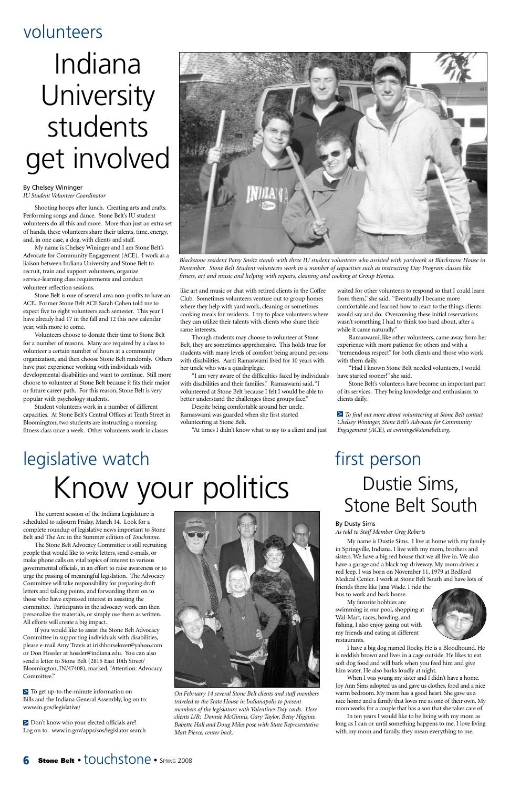The current session of the Indiana Legislature is scheduled to adjourn Friday, March 14. Look for a complete roundup of legislative news important to Stone Belt and The Arc in the Summer edition of *Touchstone*.

> To get up-to-the-minute information on Bills and the Indiana General Assembly, log on to: www.in.gov/legislative/

> Don't know who your elected officials are? Log on to: www.in.gov/apps/sos/legislator search

The Stone Belt Advocacy Committee is still recruiting people that would like to write letters, send e-mails, or make phone calls on vital topics of interest to various governmental officials, in an effort to raise awareness or to urge the passing of meaningful legislation. The Advocacy Committee will take responsibility for preparing draft letters and talking points, and forwarding them on to those who have expressed interest in assisting the committee. Participants in the advocacy work can then personalize the materials, or simply use them as written. All efforts will create a big impact. If you would like to assist the Stone Belt Advocacy Committee in supporting individuals with disabilities, please e-mail Amy Travis at irishhorselover@yahoo.com or Don Hossler at hossler@indiana.edu. You can also send a letter to Stone Belt (2815 East 10th Street/ Bloomington, IN/47408), marked, "Attention: Advocacy Committee."



#### By Dusty Sims

*As told to Staff Member Greg Roberts*

My name is Dustie Sims. I live at home with my family in Springville, Indiana. I live with my mom, brothers and sisters. We have a big red house that we all live in. We also have a garage and a black top driveway. My mom drives a red Jeep. I was born on November 11, 1979 at Bedford Medical Center. I work at Stone Belt South and have lots of friends there like Jana Wade. I ride the bus to work and back home. My favorite hobbies are swimming in our pool, shopping at Wal-Mart, races, bowling, and fishing. I also enjoy going out with my friends and eating at different restaurants. I have a big dog named Rocky. He is a Bloodhound. He is reddish brown and lives in a cage outside. He likes to eat soft dog food and will bark when you feed him and give him water. He also barks loudly at night. When I was young my sister and I didn't have a home. Joy Ann Sims adopted us and gave us clothes, food and a nice warm bedroom. My mom has a good heart. She gave us a nice home and a family that loves me as one of their own. My mom works for a couple that has a son that she takes care of. In ten years I would like to be living with my mom as long as I can or until something happens to me. I love living with my mom and family, they mean everything to me.

## volunteers

By Chelsey Wininger *IU Student Volunteer Coordinator*

Shooting hoops after lunch. Creating arts and crafts. Performing songs and dance. Stone Belt's IU student volunteers do all this and more. More than just an extra set of hands, these volunteers share their talents, time, energy, and, in one case, a dog, with clients and staff.

My name is Chelsey Wininger and I am Stone Belt's Advocate for Community Engagement (ACE). I work as a liaison between Indiana University and Stone Belt to recruit, train and support volunteers, organize service-learning class requirements and conduct volunteer reflection sessions.

Stone Belt is one of several area non-profits to have an ACE. Former Stone Belt ACE Sarah Cohen told me to expect five to eight volunteers each semester. This year I have already had 17 in the fall and 12 this new calendar year, with more to come.

Volunteers choose to donate their time to Stone Belt for a number of reasons. Many are required by a class to volunteer a certain number of hours at a community organization, and then choose Stone Belt randomly. Others have past experience working with individuals with developmental disabilities and want to continue. Still more choose to volunteer at Stone Belt because it fits their major or future career path. For this reason, Stone Belt is very popular with psychology students.

Student volunteers work in a number of different capacities. At Stone Belt's Central Offices at Tenth Street in Bloomington, two students are instructing a morning fitness class once a week. Other volunteers work in classes

like art and music or chat with retired clients in the Coffee Club. Sometimes volunteers venture out to group homes where they help with yard work, cleaning or sometimes cooking meals for residents. I try to place volunteers where they can utilize their talents with clients who share their same interests.

Though students may choose to volunteer at Stone Belt, they are sometimes apprehensive. This holds true for students with many levels of comfort being around persons with disabilities. Aarti Ramaswami lived for 10 years with her uncle who was a quadriplegic.

"I am very aware of the difficulties faced by individuals with disabilities and their families." Ramaswami said, "I volunteered at Stone Belt because I felt I would be able to better understand the challenges these groups face."

Despite being comfortable around her uncle, Ramaswami was guarded when she first started volunteering at Stone Belt.

"At times I didn't know what to say to a client and just

waited for other volunteers to respond so that I could learn from them," she said. "Eventually I became more comfortable and learned how to react to the things clients would say and do. Overcoming these initial reservations wasn't something I had to think too hard about, after a while it came naturally."

Ramaswami, like other volunteers, came away from her experience with more patience for others and with a "tremendous respect" for both clients and those who work with them daily.

"Had I known Stone Belt needed volunteers, I would have started sooner!" she said.

Stone Belt's volunteers have become an important part of its services. They bring knowledge and enthusiasm to clients daily.

*To find out more about volunteering at Stone Belt contact* > *Chelsey Wininger, Stone Belt's Advocate for Community Engagement (ACE), at cwininge@stonebelt.org.*

## Indiana University students get involved



*Blackstone resident Patsy Smitz stands with three IU student volunteers who assisted with yardwork at Blackstone House in November. Stone Belt Student volunteers work in a number of capacities such as instructing Day Program classes like fitness, art and music and helping with repairs, cleaning and cooking at Group Homes.*

## first person Dustie Sims, Stone Belt South

## legislative watch Know your politics

*On February 14 several Stone Belt clients and staff members traveled to the State House in Indianapolis to present members of the legislature with Valentines Day cards. Here clients L/R: Donnie McGinnis, Gary Taylor, Betsy Higgins, Babette Hall and Doug Miles pose with State Representative Matt Pierce, center back.*



#### **Stone Belt • touchstone • SPRING 2008**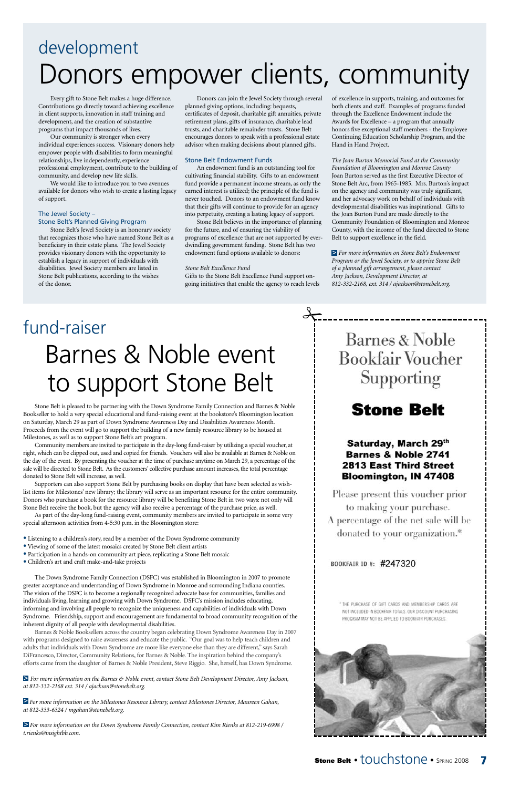## development Donors empower clients, community

Every gift to Stone Belt makes a huge difference. Contributions go directly toward achieving excellence in client supports, innovation in staff training and development, and the creation of substantive programs that impact thousands of lives.

Our community is stronger when every individual experiences success. Visionary donors help empower people with disabilities to form meaningful relationships, live independently, experience professional employment, contribute to the building of community, and develop new life skills.

We would like to introduce you to two avenues available for donors who wish to create a lasting legacy of support.

#### The Jewel Society – Stone Belt's Planned Giving Program

Stone Belt's Jewel Society is an honorary society that recognizes those who have named Stone Belt as a beneficiary in their estate plans. The Jewel Society provides visionary donors with the opportunity to establish a legacy in support of individuals with disabilities. Jewel Society members are listed in Stone Belt publications, according to the wishes of the donor.

Donors can join the Jewel Society through several planned giving options, including: bequests, certificates of deposit, charitable gift annuities, private retirement plans, gifts of insurance, charitable lead trusts, and charitable remainder trusts. Stone Belt encourages donors to speak with a professional estate advisor when making decisions about planned gifts.

#### Stone Belt Endowment Funds

An endowment fund is an outstanding tool for cultivating financial stability. Gifts to an endowment fund provide a permanent income stream, as only the earned interest is utilized; the principle of the fund is never touched. Donors to an endowment fund know that their gifts will continue to provide for an agency into perpetuity, creating a lasting legacy of support.

Stone Belt believes in the importance of planning for the future, and of ensuring the viability of programs of excellence that are not supported by everdwindling government funding. Stone Belt has two endowment fund options available to donors:

#### *Stone Belt Excellence Fund*

Gifts to the Stone Belt Excellence Fund support ongoing initiatives that enable the agency to reach levels

 $\frac{1}{\sqrt{1-x^2}}$ 

of excellence in supports, training, and outcomes for both clients and staff. Examples of programs funded through the Excellence Endowment include the Awards for Excellence – a program that annually honors five exceptional staff members - the Employee Continuing Education Scholarship Program, and the Hand in Hand Project.

*The Joan Burton Memorial Fund at the Community Foundation of Bloomington and Monroe County* Joan Burton served as the first Executive Director of Stone Belt Arc, from 1965-1985. Mrs. Burton's impact on the agency and community was truly significant, and her advocacy work on behalf of individuals with developmental disabilities was inspirational. Gifts to the Joan Burton Fund are made directly to the Community Foundation of Bloomington and Monroe County, with the income of the fund directed to Stone Belt to support excellence in the field.

*For more information on Stone Belt's Endowment* > *Program or the Jewel Society, or to apprise Stone Belt of a planned gift arrangement, please contact Amy Jackson, Development Director, at 812-332-2168, ext. 314 / ajackson@stonebelt.org.*

Stone Belt is pleased to be partnering with the Down Syndrome Family Connection and Barnes & Noble Bookseller to hold a very special educational and fund-raising event at the bookstore's Bloomington location on Saturday, March 29 as part of Down Syndrome Awareness Day and Disabilities Awareness Month. Proceeds from the event will go to support the building of a new family resource library to be housed at Milestones, as well as to support Stone Belt's art program.

Community members are invited to participate in the day-long fund-raiser by utilizing a special voucher, at right, which can be clipped out, used and copied for friends. Vouchers will also be available at Barnes & Noble on the day of the event. By presenting the voucher at the time of purchase anytime on March 29, a percentage of the sale will be directed to Stone Belt. As the customers' collective purchase amount increases, the total percentage donated to Stone Belt will increase, as well.

Supporters can also support Stone Belt by purchasing books on display that have been selected as wishlist items for Milestones' new library; the library will serve as an important resource for the entire community. Donors who purchase a book for the resource library will be benefiting Stone Belt in two ways: not only will Stone Belt receive the book, but the agency will also receive a percentage of the purchase price, as well.

As part of the day-long fund-raising event, community members are invited to participate in some very special afternoon activities from 4-5:30 p.m. in the Bloomington store:

- Listening to a children's story, read by a member of the Down Syndrome community
- Viewing of some of the latest mosaics created by Stone Belt client artists
- Participation in a hands-on community art piece, replicating a Stone Belt mosaic
- Children's art and craft make-and-take projects

The Down Syndrome Family Connection (DSFC) was established in Bloomington in 2007 to promote

## **Barnes & Noble Bookfair Voucher** Supporting

## **Stone Belt**

#### Saturday, March 29th **Barnes & Noble 2741 2813 East Third Street Bloomington, IN 47408**

Please present this voucher prior to making your purchase. A percentage of the net sale will be donated to your organization.\*

BOOKFAIR ID #: #247320

greater acceptance and understanding of Down Syndrome in Monroe and surrounding Indiana counties. The vision of the DSFC is to become a regionally recognized advocate base for communities, families and individuals living, learning and growing with Down Syndrome. DSFC's mission includes educating, informing and involving all people to recognize the uniqueness and capabilities of individuals with Down Syndrome. Friendship, support and encouragement are fundamental to broad community recognition of the inherent dignity of all people with developmental disabilities.

Barnes & Noble Booksellers across the country began celebrating Down Syndrome Awareness Day in 2007 with programs designed to raise awareness and educate the public. "Our goal was to help teach children and adults that individuals with Down Syndrome are more like everyone else than they are different," says Sarah DiFrancesco, Director, Community Relations, for Barnes & Noble. The inspiration behind the company's efforts came from the daughter of Barnes & Noble President, Steve Riggio. She, herself, has Down Syndrome.

*For more information on the Barnes & Noble event, contact Stone Belt Development Director, Amy Jackson,* > *at 812-332-2168 ext. 314 / ajackson@stonebelt.org.*

*For more information on the Milestones Resource Library, contact Milestones Director, Maureen Gahan,* > *at 812-333-6324 / mgahan@stonebelt.org.*

*For more information on the Down Syndrome Family Connection, contact Kim Rienks at 812-219-6998 /* >*t.rienks@insightbb.com.*



**Stone Belt** • touchstone • SPRING 2008 7

## Barnes & Noble event to support Stone Belt fund-raiser